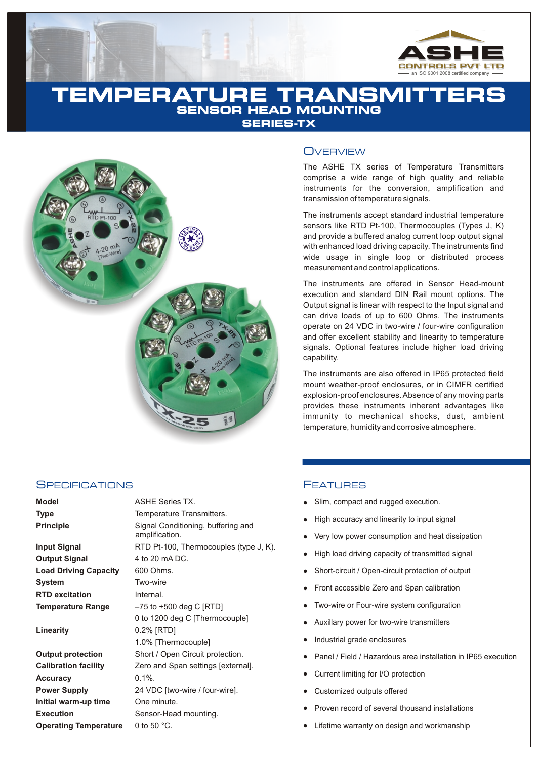

# **TEMPERATURE TRANSMITT HEAD MOUNTING SERIES-TX**



## **SPECIFICATIONS**

| Model                        | <b>ASHE Series TX.</b>                               |
|------------------------------|------------------------------------------------------|
| Type                         | Temperature Transmitters.                            |
| <b>Principle</b>             | Signal Conditioning, buffering and<br>amplification. |
| Input Signal                 | RTD Pt-100, Thermocouples (type J, K).               |
| Output Signal                | 4 to 20 mA DC.                                       |
| <b>Load Driving Capacity</b> | 600 Ohms.                                            |
| System                       | Two-wire                                             |
| <b>RTD excitation</b>        | Internal.                                            |
| <b>Temperature Range</b>     | $-75$ to $+500$ deg C [RTD]                          |
|                              | 0 to 1200 deg C [Thermocouple]                       |
| Linearity                    | 0.2% [RTD]                                           |
|                              | 1.0% [Thermocouple]                                  |
| <b>Output protection</b>     | Short / Open Circuit protection.                     |
| <b>Calibration facility</b>  | Zero and Span settings [external].                   |
| Accuracy                     | $0.1\%$ .                                            |
| <b>Power Supply</b>          | 24 VDC [two-wire / four-wire].                       |
| Initial warm-up time         | One minute.                                          |
| <b>Execution</b>             | Sensor-Head mounting.                                |
| <b>Operating Temperature</b> | 0 to 50 $^{\circ}$ C.                                |
|                              |                                                      |

# **OVERVIEW**

The ASHE TX series of Temperature Transmitters comprise a wide range of high quality and reliable instruments for the conversion, amplification and transmission of temperature signals.

The instruments accept standard industrial temperature sensors like RTD Pt-100, Thermocouples (Types J, K) and provide a buffered analog current loop output signal with enhanced load driving capacity. The instruments find wide usage in single loop or distributed process measurement and control applications.

The instruments are offered in Sensor Head-mount execution and standard DIN Rail mount options. The Output signal is linear with respect to the Input signal and can drive loads of up to 600 Ohms. The instruments operate on 24 VDC in two-wire / four-wire configuration and offer excellent stability and linearity to temperature signals. Optional features include higher load driving capability.

The instruments are also offered in IP65 protected field mount weather-proof enclosures, or in CIMFR certified explosion-proof enclosures. Absence of any moving parts provides these instruments inherent advantages like immunity to mechanical shocks, dust, ambient temperature, humidity and corrosive atmosphere.

# **FEATURES**

- Slim, compact and rugged execution.
- High accuracy and linearity to input signal
- Very low power consumption and heat dissipation
- High load driving capacity of transmitted signal
- Short-circuit / Open-circuit protection of output
- Front accessible Zero and Span calibration
- Two-wire or Four-wire system configuration
- Auxillary power for two-wire transmitters
- Industrial grade enclosures
- Panel / Field / Hazardous area installation in IP65 execution
- Current limiting for I/O protection
- Customized outputs offered
- lllllellands Silm<br>Light Usho Hight Sho<br>Light Sho Fror Two<br>Light Dan<br>Light Cust Prov<br>Lifet Lifet Proven record of several thousand installations
- Lifetime warranty on design and workmanship